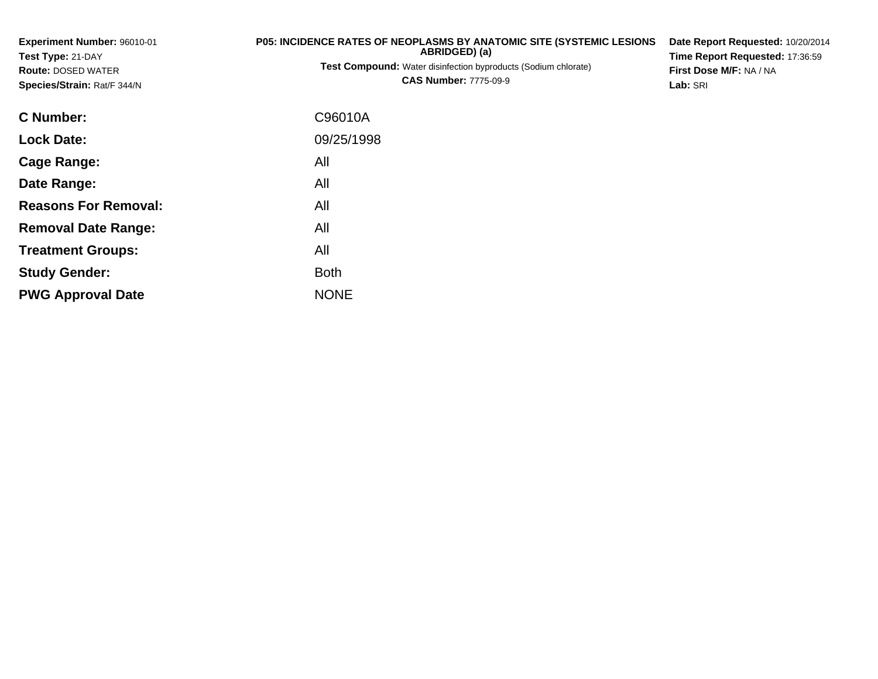| Experiment Number: 96010-01<br>Test Type: 21-DAY<br><b>Route: DOSED WATER</b><br>Species/Strain: Rat/F 344/N | <b>P05: INCIDENCE RATES OF NEOPLASMS BY ANATOMIC SITE (SYSTEMIC LESIONS)</b><br>ABRIDGED) (a)<br>Test Compound: Water disinfection byproducts (Sodium chlorate)<br><b>CAS Number: 7775-09-9</b> | Date Report Requested: 10/20/2014<br>Time Report Requested: 17:36:59<br>First Dose M/F: NA / NA<br>Lab: SRI |
|--------------------------------------------------------------------------------------------------------------|-------------------------------------------------------------------------------------------------------------------------------------------------------------------------------------------------|-------------------------------------------------------------------------------------------------------------|
| C Number:                                                                                                    | C96010A                                                                                                                                                                                         |                                                                                                             |
| <b>Lock Date:</b>                                                                                            | 09/25/1998                                                                                                                                                                                      |                                                                                                             |
| Cage Range:                                                                                                  | All                                                                                                                                                                                             |                                                                                                             |
| Date Range:                                                                                                  | All                                                                                                                                                                                             |                                                                                                             |
| <b>Reasons For Removal:</b>                                                                                  | All                                                                                                                                                                                             |                                                                                                             |
| <b>Removal Date Range:</b>                                                                                   | All                                                                                                                                                                                             |                                                                                                             |
| <b>Treatment Groups:</b>                                                                                     | All                                                                                                                                                                                             |                                                                                                             |
| <b>Study Gender:</b>                                                                                         | <b>Both</b>                                                                                                                                                                                     |                                                                                                             |

e NONE

**PWG Approval Date**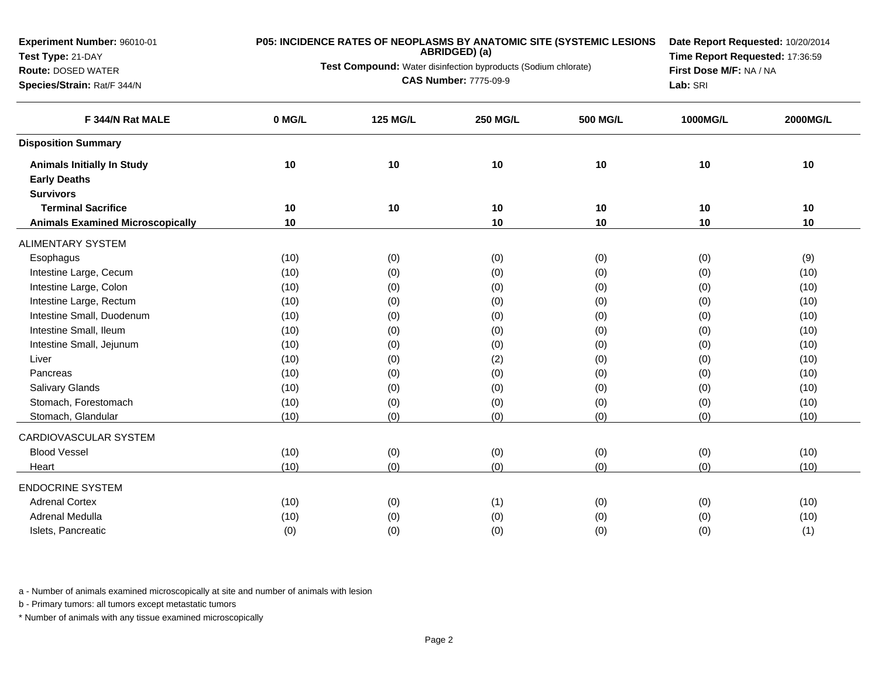**Experiment Number:** 96010-01

### **Test Type:** 21-DAY

#### **Route:** DOSED WATER

**Species/Strain:** Rat/F 344/N

# **P05: INCIDENCE RATES OF NEOPLASMS BY ANATOMIC SITE (SYSTEMIC LESIONS ABRIDGED) (a)**

**Test Compound:** Water disinfection byproducts (Sodium chlorate)

**CAS Number:** 7775-09-9

**Date Report Requested:** 10/20/2014**Time Report Requested:** 17:36:59**First Dose M/F:** NA / NA**Lab:** SRI

| F 344/N Rat MALE                        | 0 MG/L | <b>125 MG/L</b> | <b>250 MG/L</b> | 500 MG/L | 1000MG/L | 2000MG/L |
|-----------------------------------------|--------|-----------------|-----------------|----------|----------|----------|
| <b>Disposition Summary</b>              |        |                 |                 |          |          |          |
| <b>Animals Initially In Study</b>       | 10     | 10              | 10              | 10       | 10       | 10       |
| <b>Early Deaths</b>                     |        |                 |                 |          |          |          |
| <b>Survivors</b>                        |        |                 |                 |          |          |          |
| <b>Terminal Sacrifice</b>               | 10     | 10              | 10              | 10       | 10       | 10       |
| <b>Animals Examined Microscopically</b> | 10     |                 | 10              | 10       | 10       | 10       |
| <b>ALIMENTARY SYSTEM</b>                |        |                 |                 |          |          |          |
| Esophagus                               | (10)   | (0)             | (0)             | (0)      | (0)      | (9)      |
| Intestine Large, Cecum                  | (10)   | (0)             | (0)             | (0)      | (0)      | (10)     |
| Intestine Large, Colon                  | (10)   | (0)             | (0)             | (0)      | (0)      | (10)     |
| Intestine Large, Rectum                 | (10)   | (0)             | (0)             | (0)      | (0)      | (10)     |
| Intestine Small, Duodenum               | (10)   | (0)             | (0)             | (0)      | (0)      | (10)     |
| Intestine Small, Ileum                  | (10)   | (0)             | (0)             | (0)      | (0)      | (10)     |
| Intestine Small, Jejunum                | (10)   | (0)             | (0)             | (0)      | (0)      | (10)     |
| Liver                                   | (10)   | (0)             | (2)             | (0)      | (0)      | (10)     |
| Pancreas                                | (10)   | (0)             | (0)             | (0)      | (0)      | (10)     |
| <b>Salivary Glands</b>                  | (10)   | (0)             | (0)             | (0)      | (0)      | (10)     |
| Stomach, Forestomach                    | (10)   | (0)             | (0)             | (0)      | (0)      | (10)     |
| Stomach, Glandular                      | (10)   | (0)             | (0)             | (0)      | (0)      | (10)     |
| CARDIOVASCULAR SYSTEM                   |        |                 |                 |          |          |          |
| <b>Blood Vessel</b>                     | (10)   | (0)             | (0)             | (0)      | (0)      | (10)     |
| Heart                                   | (10)   | (0)             | (0)             | (0)      | (0)      | (10)     |
| <b>ENDOCRINE SYSTEM</b>                 |        |                 |                 |          |          |          |
| <b>Adrenal Cortex</b>                   | (10)   | (0)             | (1)             | (0)      | (0)      | (10)     |
| Adrenal Medulla                         | (10)   | (0)             | (0)             | (0)      | (0)      | (10)     |
| Islets, Pancreatic                      | (0)    | (0)             | (0)             | (0)      | (0)      | (1)      |

a - Number of animals examined microscopically at site and number of animals with lesion

b - Primary tumors: all tumors except metastatic tumors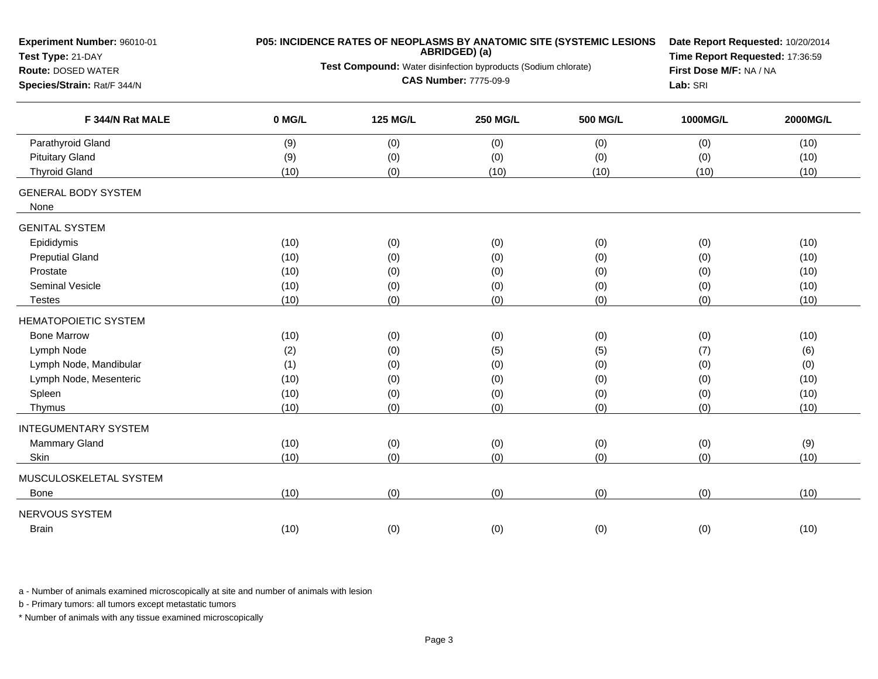| Experiment Number: 96010-01                    |        |                                                                | ABRIDGED) (a)                | P05: INCIDENCE RATES OF NEOPLASMS BY ANATOMIC SITE (SYSTEMIC LESIONS | Date Report Requested: 10/20/2014<br>Time Report Requested: 17:36:59<br>First Dose M/F: NA / NA |          |  |  |
|------------------------------------------------|--------|----------------------------------------------------------------|------------------------------|----------------------------------------------------------------------|-------------------------------------------------------------------------------------------------|----------|--|--|
| Test Type: 21-DAY<br><b>Route: DOSED WATER</b> |        | Test Compound: Water disinfection byproducts (Sodium chlorate) |                              |                                                                      |                                                                                                 |          |  |  |
| Species/Strain: Rat/F 344/N                    |        |                                                                | <b>CAS Number: 7775-09-9</b> |                                                                      | Lab: SRI                                                                                        |          |  |  |
|                                                |        |                                                                |                              |                                                                      |                                                                                                 |          |  |  |
| F 344/N Rat MALE                               | 0 MG/L | <b>125 MG/L</b>                                                | <b>250 MG/L</b>              | <b>500 MG/L</b>                                                      | 1000MG/L                                                                                        | 2000MG/L |  |  |
| Parathyroid Gland                              | (9)    | (0)                                                            | (0)                          | (0)                                                                  | (0)                                                                                             | (10)     |  |  |
| <b>Pituitary Gland</b>                         | (9)    | (0)                                                            | (0)                          | (0)                                                                  | (0)                                                                                             | (10)     |  |  |
| <b>Thyroid Gland</b>                           | (10)   | (0)                                                            | (10)                         | (10)                                                                 | (10)                                                                                            | (10)     |  |  |
| <b>GENERAL BODY SYSTEM</b><br>None             |        |                                                                |                              |                                                                      |                                                                                                 |          |  |  |
| <b>GENITAL SYSTEM</b>                          |        |                                                                |                              |                                                                      |                                                                                                 |          |  |  |
| Epididymis                                     | (10)   | (0)                                                            | (0)                          | (0)                                                                  | (0)                                                                                             | (10)     |  |  |
| <b>Preputial Gland</b>                         | (10)   | (0)                                                            | (0)                          | (0)                                                                  | (0)                                                                                             | (10)     |  |  |
| Prostate                                       | (10)   | (0)                                                            | (0)                          | (0)                                                                  | (0)                                                                                             | (10)     |  |  |
| Seminal Vesicle                                | (10)   | (0)                                                            | (0)                          | (0)                                                                  | (0)                                                                                             | (10)     |  |  |
| Testes                                         | (10)   | (0)                                                            | (0)                          | (0)                                                                  | (0)                                                                                             | (10)     |  |  |
| <b>HEMATOPOIETIC SYSTEM</b>                    |        |                                                                |                              |                                                                      |                                                                                                 |          |  |  |
| <b>Bone Marrow</b>                             | (10)   | (0)                                                            | (0)                          | (0)                                                                  | (0)                                                                                             | (10)     |  |  |
| Lymph Node                                     | (2)    | (0)                                                            | (5)                          | (5)                                                                  | (7)                                                                                             | (6)      |  |  |
| Lymph Node, Mandibular                         | (1)    | (0)                                                            | (0)                          | (0)                                                                  | (0)                                                                                             | (0)      |  |  |
| Lymph Node, Mesenteric                         | (10)   | (0)                                                            | (0)                          | (0)                                                                  | (0)                                                                                             | (10)     |  |  |
| Spleen                                         | (10)   | (0)                                                            | (0)                          | (0)                                                                  | (0)                                                                                             | (10)     |  |  |
| Thymus                                         | (10)   | (0)                                                            | (0)                          | (0)                                                                  | (0)                                                                                             | (10)     |  |  |
| <b>INTEGUMENTARY SYSTEM</b>                    |        |                                                                |                              |                                                                      |                                                                                                 |          |  |  |
| Mammary Gland                                  | (10)   | (0)                                                            | (0)                          | (0)                                                                  | (0)                                                                                             | (9)      |  |  |
| Skin                                           | (10)   | (0)                                                            | (0)                          | (0)                                                                  | (0)                                                                                             | (10)     |  |  |
| MUSCULOSKELETAL SYSTEM                         |        |                                                                |                              |                                                                      |                                                                                                 |          |  |  |
| Bone                                           | (10)   | (0)                                                            | (0)                          | (0)                                                                  | (0)                                                                                             | (10)     |  |  |
| NERVOUS SYSTEM                                 |        |                                                                |                              |                                                                      |                                                                                                 |          |  |  |
| <b>Brain</b>                                   | (10)   | (0)                                                            | (0)                          | (0)                                                                  | (0)                                                                                             | (10)     |  |  |
|                                                |        |                                                                |                              |                                                                      |                                                                                                 |          |  |  |

b - Primary tumors: all tumors except metastatic tumors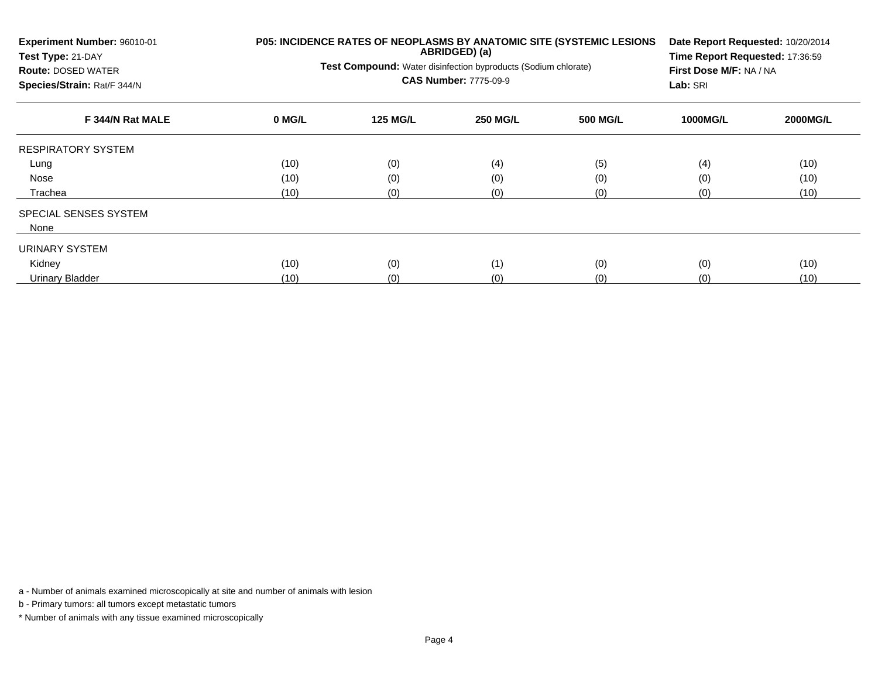| Experiment Number: 96010-01<br>Test Type: 21-DAY<br><b>Route: DOSED WATER</b><br>Species/Strain: Rat/F 344/N |        | <b>Test Compound:</b> Water disinfection byproducts (Sodium chlorate) | ABRIDGED) (a)<br><b>CAS Number: 7775-09-9</b> | P05: INCIDENCE RATES OF NEOPLASMS BY ANATOMIC SITE (SYSTEMIC LESIONS | Date Report Requested: 10/20/2014<br>Time Report Requested: 17:36:59<br>First Dose M/F: NA / NA<br>Lab: SRI |                 |  |
|--------------------------------------------------------------------------------------------------------------|--------|-----------------------------------------------------------------------|-----------------------------------------------|----------------------------------------------------------------------|-------------------------------------------------------------------------------------------------------------|-----------------|--|
| F 344/N Rat MALE                                                                                             | 0 MG/L | <b>125 MG/L</b>                                                       | <b>250 MG/L</b>                               | <b>500 MG/L</b>                                                      | <b>1000MG/L</b>                                                                                             | <b>2000MG/L</b> |  |
| <b>RESPIRATORY SYSTEM</b>                                                                                    |        |                                                                       |                                               |                                                                      |                                                                                                             |                 |  |
| Lung                                                                                                         | (10)   | (0)                                                                   | (4)                                           | (5)                                                                  | (4)                                                                                                         | (10)            |  |
| Nose                                                                                                         | (10)   | (0)                                                                   | (0)                                           | (0)                                                                  | (0)                                                                                                         | (10)            |  |
| Trachea                                                                                                      | (10)   | (0)                                                                   | (0)                                           | (0)                                                                  | (0)                                                                                                         | (10)            |  |
| SPECIAL SENSES SYSTEM                                                                                        |        |                                                                       |                                               |                                                                      |                                                                                                             |                 |  |
| None                                                                                                         |        |                                                                       |                                               |                                                                      |                                                                                                             |                 |  |
| URINARY SYSTEM                                                                                               |        |                                                                       |                                               |                                                                      |                                                                                                             |                 |  |
| Kidney                                                                                                       | (10)   | (0)                                                                   | (1)                                           | (0)                                                                  | (0)                                                                                                         | (10)            |  |
| Urinary Bladder                                                                                              | (10)   | (0)                                                                   | (0)                                           | (0)                                                                  | (0)                                                                                                         | (10)            |  |

b - Primary tumors: all tumors except metastatic tumors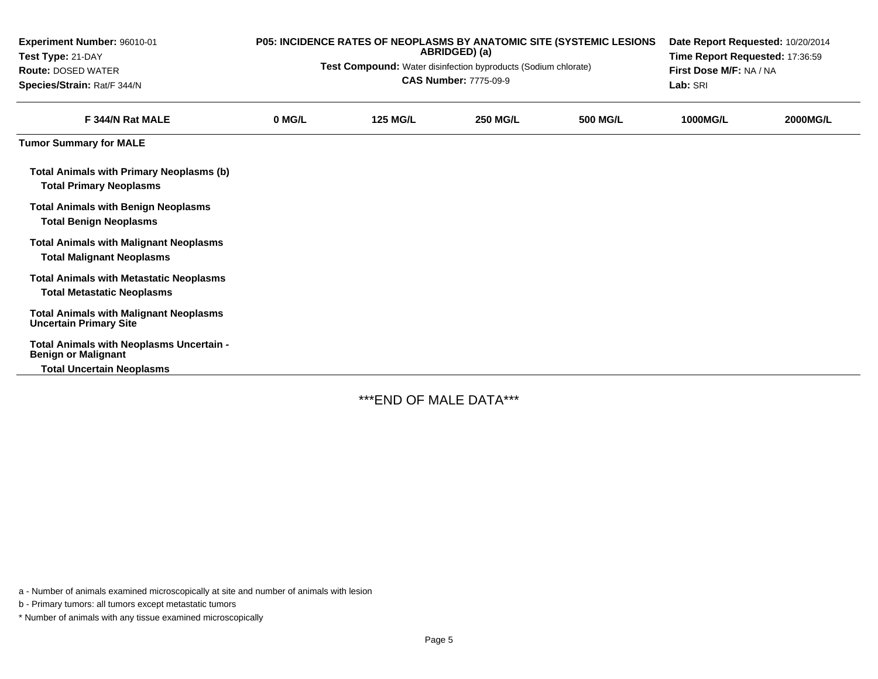| Experiment Number: 96010-01<br>Test Type: 21-DAY<br><b>Route: DOSED WATER</b><br>Species/Strain: Rat/F 344/N | P05: INCIDENCE RATES OF NEOPLASMS BY ANATOMIC SITE (SYSTEMIC LESIONS<br>Date Report Requested: 10/20/2014<br>ABRIDGED) (a)<br>Time Report Requested: 17:36:59<br><b>Test Compound:</b> Water disinfection byproducts (Sodium chlorate)<br>First Dose M/F: NA / NA<br><b>CAS Number: 7775-09-9</b><br>Lab: SRI |                 |                 |                 |                 |                 |
|--------------------------------------------------------------------------------------------------------------|---------------------------------------------------------------------------------------------------------------------------------------------------------------------------------------------------------------------------------------------------------------------------------------------------------------|-----------------|-----------------|-----------------|-----------------|-----------------|
| F 344/N Rat MALE                                                                                             | 0 MG/L                                                                                                                                                                                                                                                                                                        | <b>125 MG/L</b> | <b>250 MG/L</b> | <b>500 MG/L</b> | <b>1000MG/L</b> | <b>2000MG/L</b> |
| <b>Tumor Summary for MALE</b>                                                                                |                                                                                                                                                                                                                                                                                                               |                 |                 |                 |                 |                 |
| <b>Total Animals with Primary Neoplasms (b)</b><br><b>Total Primary Neoplasms</b>                            |                                                                                                                                                                                                                                                                                                               |                 |                 |                 |                 |                 |
| <b>Total Animals with Benign Neoplasms</b><br><b>Total Benign Neoplasms</b>                                  |                                                                                                                                                                                                                                                                                                               |                 |                 |                 |                 |                 |
| <b>Total Animals with Malignant Neoplasms</b><br><b>Total Malignant Neoplasms</b>                            |                                                                                                                                                                                                                                                                                                               |                 |                 |                 |                 |                 |
| <b>Total Animals with Metastatic Neoplasms</b><br><b>Total Metastatic Neoplasms</b>                          |                                                                                                                                                                                                                                                                                                               |                 |                 |                 |                 |                 |
| <b>Total Animals with Malignant Neoplasms</b><br><b>Uncertain Primary Site</b>                               |                                                                                                                                                                                                                                                                                                               |                 |                 |                 |                 |                 |
| Total Animals with Neoplasms Uncertain -<br><b>Benign or Malignant</b>                                       |                                                                                                                                                                                                                                                                                                               |                 |                 |                 |                 |                 |
| <b>Total Uncertain Neoplasms</b>                                                                             |                                                                                                                                                                                                                                                                                                               |                 |                 |                 |                 |                 |

\*\*\*END OF MALE DATA\*\*\*

a - Number of animals examined microscopically at site and number of animals with lesion

b - Primary tumors: all tumors except metastatic tumors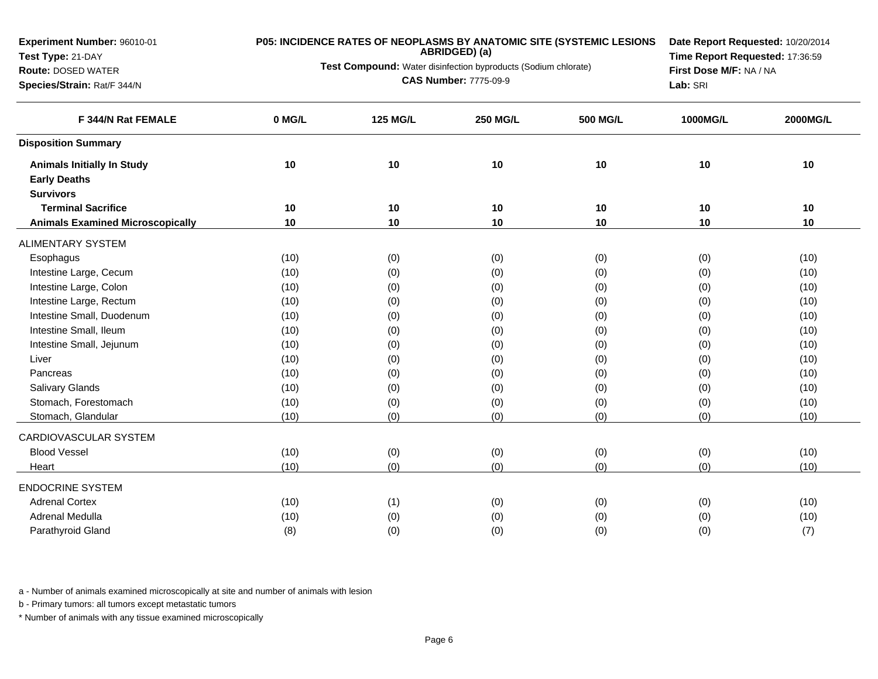**Experiment Number:** 96010-01

### **Test Type:** 21-DAY

#### **Route:** DOSED WATER

**Species/Strain:** Rat/F 344/N

# **P05: INCIDENCE RATES OF NEOPLASMS BY ANATOMIC SITE (SYSTEMIC LESIONS ABRIDGED) (a)**

**Test Compound:** Water disinfection byproducts (Sodium chlorate)

**CAS Number:** 7775-09-9

**Date Report Requested:** 10/20/2014**Time Report Requested:** 17:36:59**First Dose M/F:** NA / NA**Lab:** SRI

| F 344/N Rat FEMALE                      | 0 MG/L | <b>125 MG/L</b> | <b>250 MG/L</b> | <b>500 MG/L</b> | 1000MG/L | 2000MG/L |
|-----------------------------------------|--------|-----------------|-----------------|-----------------|----------|----------|
| <b>Disposition Summary</b>              |        |                 |                 |                 |          |          |
| <b>Animals Initially In Study</b>       | 10     | 10              | 10              | 10              | 10       | 10       |
| <b>Early Deaths</b>                     |        |                 |                 |                 |          |          |
| <b>Survivors</b>                        |        |                 |                 |                 |          |          |
| <b>Terminal Sacrifice</b>               | 10     | 10              | 10              | 10              | 10       | 10       |
| <b>Animals Examined Microscopically</b> | 10     | 10              | 10              | 10              | 10       | 10       |
| <b>ALIMENTARY SYSTEM</b>                |        |                 |                 |                 |          |          |
| Esophagus                               | (10)   | (0)             | (0)             | (0)             | (0)      | (10)     |
| Intestine Large, Cecum                  | (10)   | (0)             | (0)             | (0)             | (0)      | (10)     |
| Intestine Large, Colon                  | (10)   | (0)             | (0)             | (0)             | (0)      | (10)     |
| Intestine Large, Rectum                 | (10)   | (0)             | (0)             | (0)             | (0)      | (10)     |
| Intestine Small, Duodenum               | (10)   | (0)             | (0)             | (0)             | (0)      | (10)     |
| Intestine Small, Ileum                  | (10)   | (0)             | (0)             | (0)             | (0)      | (10)     |
| Intestine Small, Jejunum                | (10)   | (0)             | (0)             | (0)             | (0)      | (10)     |
| Liver                                   | (10)   | (0)             | (0)             | (0)             | (0)      | (10)     |
| Pancreas                                | (10)   | (0)             | (0)             | (0)             | (0)      | (10)     |
| <b>Salivary Glands</b>                  | (10)   | (0)             | (0)             | (0)             | (0)      | (10)     |
| Stomach, Forestomach                    | (10)   | (0)             | (0)             | (0)             | (0)      | (10)     |
| Stomach, Glandular                      | (10)   | (0)             | (0)             | (0)             | (0)      | (10)     |
| CARDIOVASCULAR SYSTEM                   |        |                 |                 |                 |          |          |
| <b>Blood Vessel</b>                     | (10)   | (0)             | (0)             | (0)             | (0)      | (10)     |
| Heart                                   | (10)   | (0)             | (0)             | (0)             | (0)      | (10)     |
| <b>ENDOCRINE SYSTEM</b>                 |        |                 |                 |                 |          |          |
| <b>Adrenal Cortex</b>                   | (10)   | (1)             | (0)             | (0)             | (0)      | (10)     |
| Adrenal Medulla                         | (10)   | (0)             | (0)             | (0)             | (0)      | (10)     |
| Parathyroid Gland                       | (8)    | (0)             | (0)             | (0)             | (0)      | (7)      |

a - Number of animals examined microscopically at site and number of animals with lesion

b - Primary tumors: all tumors except metastatic tumors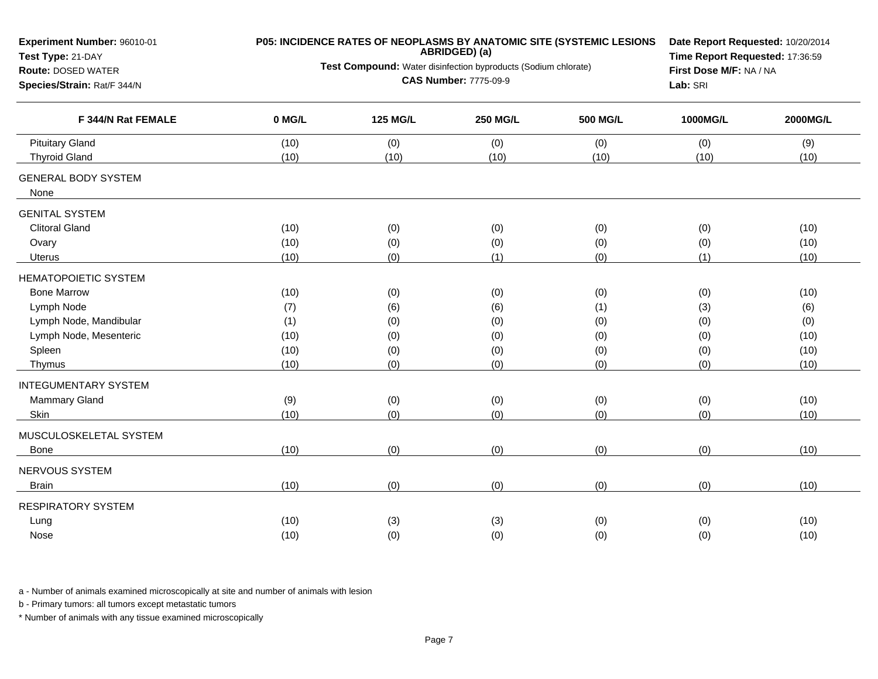| Experiment Number: 96010-01<br>Test Type: 21-DAY                               |              |                 | ABRIDGED) (a)<br>Test Compound: Water disinfection byproducts (Sodium chlorate) | P05: INCIDENCE RATES OF NEOPLASMS BY ANATOMIC SITE (SYSTEMIC LESIONS | Date Report Requested: 10/20/2014<br>Time Report Requested: 17:36:59 |              |  |  |
|--------------------------------------------------------------------------------|--------------|-----------------|---------------------------------------------------------------------------------|----------------------------------------------------------------------|----------------------------------------------------------------------|--------------|--|--|
| <b>Route: DOSED WATER</b><br>Species/Strain: Rat/F 344/N<br>F 344/N Rat FEMALE |              |                 | <b>CAS Number: 7775-09-9</b>                                                    |                                                                      | First Dose M/F: NA / NA<br>Lab: SRI                                  |              |  |  |
|                                                                                | 0 MG/L       | <b>125 MG/L</b> | <b>250 MG/L</b>                                                                 | <b>500 MG/L</b>                                                      | 1000MG/L                                                             | 2000MG/L     |  |  |
| <b>Pituitary Gland</b><br><b>Thyroid Gland</b>                                 | (10)<br>(10) | (0)<br>(10)     | (0)<br>(10)                                                                     | (0)<br>(10)                                                          | (0)<br>(10)                                                          | (9)<br>(10)  |  |  |
| <b>GENERAL BODY SYSTEM</b><br>None                                             |              |                 |                                                                                 |                                                                      |                                                                      |              |  |  |
| <b>GENITAL SYSTEM</b>                                                          |              |                 |                                                                                 |                                                                      |                                                                      |              |  |  |
| <b>Clitoral Gland</b>                                                          | (10)         | (0)             | (0)                                                                             | (0)                                                                  | (0)                                                                  | (10)         |  |  |
| Ovary<br>Uterus                                                                | (10)<br>(10) | (0)<br>(0)      | (0)<br>(1)                                                                      | (0)<br>(0)                                                           | (0)<br>(1)                                                           | (10)<br>(10) |  |  |
|                                                                                |              |                 |                                                                                 |                                                                      |                                                                      |              |  |  |
| <b>HEMATOPOIETIC SYSTEM</b>                                                    |              |                 |                                                                                 |                                                                      |                                                                      |              |  |  |
| <b>Bone Marrow</b>                                                             | (10)         | (0)             | (0)                                                                             | (0)                                                                  | (0)                                                                  | (10)         |  |  |
| Lymph Node                                                                     | (7)          | (6)             | (6)                                                                             | (1)                                                                  | (3)                                                                  | (6)          |  |  |
| Lymph Node, Mandibular                                                         | (1)          | (0)             | (0)                                                                             | (0)                                                                  | (0)                                                                  | (0)          |  |  |
| Lymph Node, Mesenteric                                                         | (10)         | (0)             | (0)                                                                             | (0)                                                                  | (0)                                                                  | (10)         |  |  |
| Spleen<br>Thymus                                                               | (10)<br>(10) | (0)<br>(0)      | (0)<br>(0)                                                                      | (0)<br>(0)                                                           | (0)<br>(0)                                                           | (10)<br>(10) |  |  |
|                                                                                |              |                 |                                                                                 |                                                                      |                                                                      |              |  |  |
| <b>INTEGUMENTARY SYSTEM</b>                                                    |              |                 |                                                                                 |                                                                      |                                                                      |              |  |  |
| Mammary Gland                                                                  | (9)          | (0)             | (0)                                                                             | (0)                                                                  | (0)                                                                  | (10)         |  |  |
| Skin                                                                           | (10)         | (0)             | (0)                                                                             | (0)                                                                  | (0)                                                                  | (10)         |  |  |
| MUSCULOSKELETAL SYSTEM                                                         |              |                 |                                                                                 |                                                                      |                                                                      |              |  |  |
| Bone                                                                           | (10)         | (0)             | (0)                                                                             | (0)                                                                  | (0)                                                                  | (10)         |  |  |
| <b>NERVOUS SYSTEM</b>                                                          |              |                 |                                                                                 |                                                                      |                                                                      |              |  |  |
| <b>Brain</b>                                                                   | (10)         | (0)             | (0)                                                                             | (0)                                                                  | (0)                                                                  | (10)         |  |  |
| <b>RESPIRATORY SYSTEM</b>                                                      |              |                 |                                                                                 |                                                                      |                                                                      |              |  |  |
| Lung                                                                           | (10)         | (3)             | (3)                                                                             | (0)                                                                  | (0)                                                                  | (10)         |  |  |
| Nose                                                                           | (10)         | (0)             | (0)                                                                             | (0)                                                                  | (0)                                                                  | (10)         |  |  |

b - Primary tumors: all tumors except metastatic tumors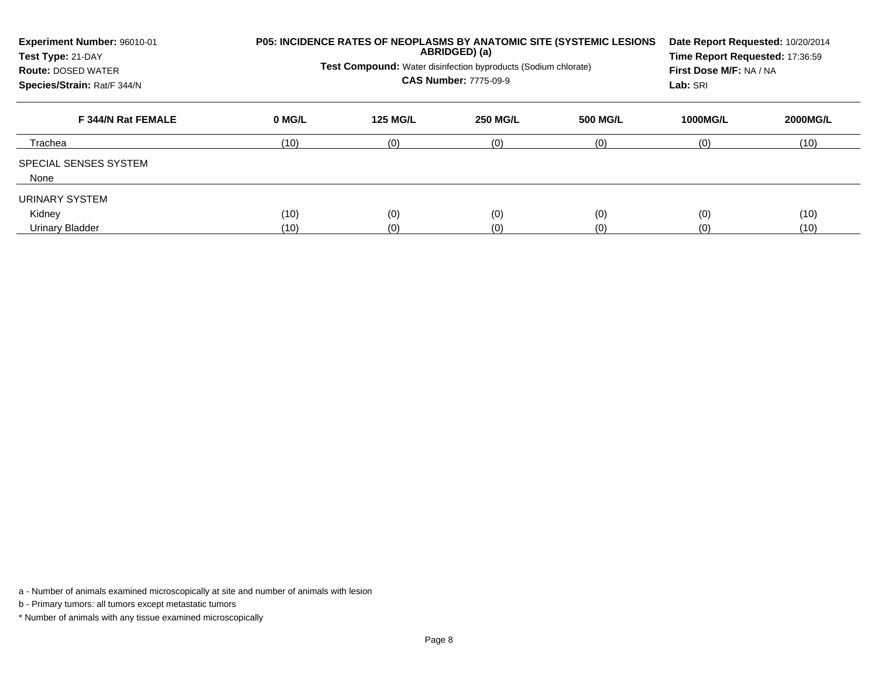| Experiment Number: 96010-01<br>Test Type: 21-DAY<br><b>Route: DOSED WATER</b><br>Species/Strain: Rat/F 344/N |              | Test Compound: Water disinfection byproducts (Sodium chlorate) | ABRIDGED) (a)<br><b>CAS Number: 7775-09-9</b> | <b>P05: INCIDENCE RATES OF NEOPLASMS BY ANATOMIC SITE (SYSTEMIC LESIONS)</b> | Date Report Requested: 10/20/2014<br>Time Report Requested: 17:36:59<br>First Dose M/F: NA / NA<br>Lab: SRI |                 |  |
|--------------------------------------------------------------------------------------------------------------|--------------|----------------------------------------------------------------|-----------------------------------------------|------------------------------------------------------------------------------|-------------------------------------------------------------------------------------------------------------|-----------------|--|
| F 344/N Rat FEMALE                                                                                           | 0 MG/L       | <b>125 MG/L</b>                                                | <b>250 MG/L</b>                               | <b>500 MG/L</b>                                                              | <b>1000MG/L</b>                                                                                             | <b>2000MG/L</b> |  |
| Trachea                                                                                                      | (10)         | (0)                                                            | (0)                                           | (0)                                                                          | (0)                                                                                                         | (10)            |  |
| SPECIAL SENSES SYSTEM<br>None                                                                                |              |                                                                |                                               |                                                                              |                                                                                                             |                 |  |
| URINARY SYSTEM<br>Kidney<br><b>Urinary Bladder</b>                                                           | (10)<br>(10) | (0)<br>(0)                                                     | (0)<br>(0)                                    | (0)<br>(0)                                                                   | (0)<br>(0)                                                                                                  | (10)<br>(10)    |  |

b - Primary tumors: all tumors except metastatic tumors